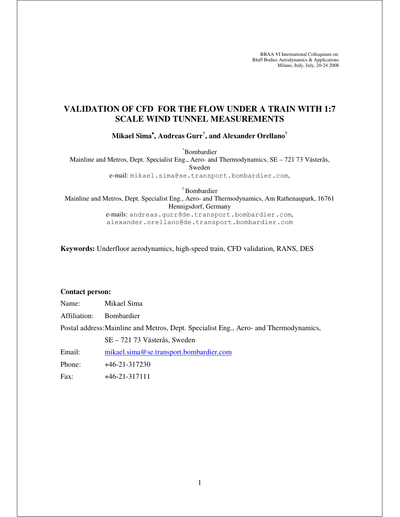BBAA VI International Colloquium on: Bluff Bodies Aerodynamics & Applications Milano, Italy, July, 20-24 2008

# **VALIDATION OF CFD FOR THE FLOW UNDER A TRAIN WITH 1:7 SCALE WIND TUNNEL MEASUREMENTS**

**Mikael Sima**<sup>∗</sup>**, Andreas Gurr† , and Alexander Orellano†**

<sup>∗</sup>Bombardier

Mainline and Metros, Dept. Specialist Eng., Aero- and Thermodynamics, SE – 721 73 Västerås, Sweden e-mail: mikael.sima@se.transport.bombardier.com,

† Bombardier Mainline and Metros, Dept. Specialist Eng., Aero- and Thermodynamics, Am Rathenaupark, 16761 Hennigsdorf, Germany

e-mails: andreas.gurr@de.transport.bombardier.com, alexander.orellano@de.transport.bombardier.com

**Keywords:** Underfloor aerodynamics, high-speed train, CFD validation, RANS, DES

## **Contact person:**

| Name: | Mikael Sima |
|-------|-------------|
|       |             |

Affiliation: Bombardier

Postal address: Mainline and Metros, Dept. Specialist Eng., Aero- and Thermodynamics,

SE – 721 73 Västerås, Sweden

Email: mikael.sima@se.transport.bombardier.com

Phone: +46-21-317230

Fax: +46-21-317111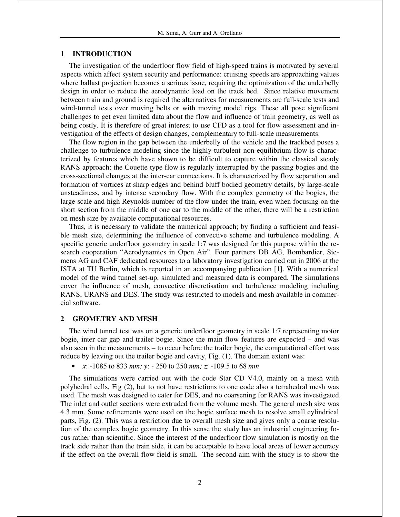## **1 INTRODUCTION**

The investigation of the underfloor flow field of high-speed trains is motivated by several aspects which affect system security and performance: cruising speeds are approaching values where ballast projection becomes a serious issue, requiring the optimization of the underbelly design in order to reduce the aerodynamic load on the track bed. Since relative movement between train and ground is required the alternatives for measurements are full-scale tests and wind-tunnel tests over moving belts or with moving model rigs. These all pose significant challenges to get even limited data about the flow and influence of train geometry, as well as being costly. It is therefore of great interest to use CFD as a tool for flow assessment and investigation of the effects of design changes, complementary to full-scale measurements.

The flow region in the gap between the underbelly of the vehicle and the trackbed poses a challenge to turbulence modeling since the highly-turbulent non-equilibrium flow is characterized by features which have shown to be difficult to capture within the classical steady RANS approach: the Couette type flow is regularly interrupted by the passing bogies and the cross-sectional changes at the inter-car connections. It is characterized by flow separation and formation of vortices at sharp edges and behind bluff bodied geometry details, by large-scale unsteadiness, and by intense secondary flow. With the complex geometry of the bogies, the large scale and high Reynolds number of the flow under the train, even when focusing on the short section from the middle of one car to the middle of the other, there will be a restriction on mesh size by available computational resources.

Thus, it is necessary to validate the numerical approach; by finding a sufficient and feasible mesh size, determining the influence of convective scheme and turbulence modeling. A specific generic underfloor geometry in scale 1:7 was designed for this purpose within the research cooperation "Aerodynamics in Open Air". Four partners DB AG, Bombardier, Siemens AG and CAF dedicated resources to a laboratory investigation carried out in 2006 at the ISTA at TU Berlin, which is reported in an accompanying publication [1]. With a numerical model of the wind tunnel set-up, simulated and measured data is compared. The simulations cover the influence of mesh, convective discretisation and turbulence modeling including RANS, URANS and DES. The study was restricted to models and mesh available in commercial software.

### **2 GEOMETRY AND MESH**

The wind tunnel test was on a generic underfloor geometry in scale 1:7 representing motor bogie, inter car gap and trailer bogie. Since the main flow features are expected – and was also seen in the measurements – to occur before the trailer bogie, the computational effort was reduce by leaving out the trailer bogie and cavity, Fig. (1). The domain extent was:

• *x*: -1085 to 833 *mm; y*: - 250 to 250 *mm; z*: -109.5 to 68 *mm*

The simulations were carried out with the code Star CD V4.0, mainly on a mesh with polyhedral cells, Fig (2), but to not have restrictions to one code also a tetrahedral mesh was used. The mesh was designed to cater for DES, and no coarsening for RANS was investigated. The inlet and outlet sections were extruded from the volume mesh. The general mesh size was 4.3 mm. Some refinements were used on the bogie surface mesh to resolve small cylindrical parts, Fig. (2). This was a restriction due to overall mesh size and gives only a coarse resolution of the complex bogie geometry. In this sense the study has an industrial engineering focus rather than scientific. Since the interest of the underfloor flow simulation is mostly on the track side rather than the train side, it can be acceptable to have local areas of lower accuracy if the effect on the overall flow field is small. The second aim with the study is to show the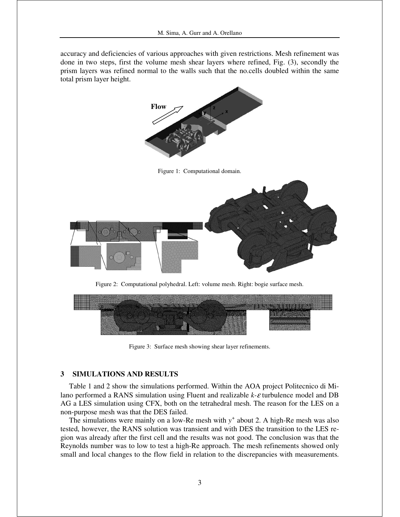accuracy and deficiencies of various approaches with given restrictions. Mesh refinement was done in two steps, first the volume mesh shear layers where refined, Fig. (3), secondly the prism layers was refined normal to the walls such that the no.cells doubled within the same total prism layer height.



Figure 1: Computational domain.



Figure 2: Computational polyhedral. Left: volume mesh. Right: bogie surface mesh.



Figure 3: Surface mesh showing shear layer refinements.

## **3 SIMULATIONS AND RESULTS**

Table 1 and 2 show the simulations performed. Within the AOA project Politecnico di Milano performed a RANS simulation using Fluent and realizable *k-*ε turbulence model and DB AG a LES simulation using CFX, both on the tetrahedral mesh. The reason for the LES on a non-purpose mesh was that the DES failed.

The simulations were mainly on a low-Re mesh with  $y^+$  about 2. A high-Re mesh was also tested, however, the RANS solution was transient and with DES the transition to the LES region was already after the first cell and the results was not good. The conclusion was that the Reynolds number was to low to test a high-Re approach. The mesh refinements showed only small and local changes to the flow field in relation to the discrepancies with measurements.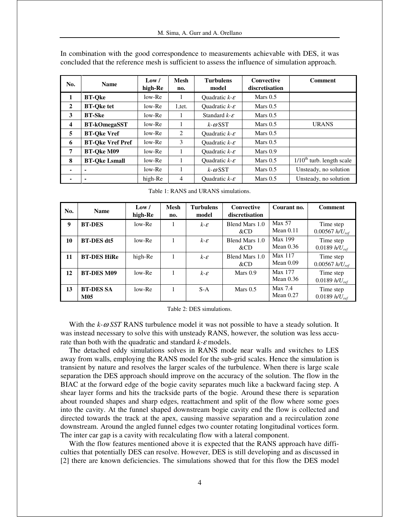| No.                     | <b>Name</b>             | Low /<br>high-Re | <b>Mesh</b><br>no. | <b>Turbulens</b><br>model    | <b>Convective</b><br>discretisation | <b>Comment</b>              |
|-------------------------|-------------------------|------------------|--------------------|------------------------------|-------------------------------------|-----------------------------|
| $\mathbf{1}$            | <b>BT-Oke</b>           | low-Re           | 1                  | Quadratic $k - \varepsilon$  | Mars $0.5$                          |                             |
| 2                       | <b>BT-Oke tet</b>       | $low-Re$         | 1, tet.            | Quadratic $k - \varepsilon$  | Mars $0.5$                          |                             |
| 3                       | <b>BT-Ske</b>           | $low-Re$         |                    | Standard $k$ - $\varepsilon$ | Mars $0.5$                          |                             |
| $\overline{\mathbf{4}}$ | <b>BT-kOmegaSST</b>     | $low-Re$         | 1                  | $k-\omega$ SST               | Mars $0.5$                          | <b>URANS</b>                |
| 5                       | <b>BT-Oke Vref</b>      | $low-Re$         | 2                  | Quadratic $k - \varepsilon$  | Mars $0.5$                          |                             |
| 6                       | <b>BT-Oke Vref Pref</b> | low-Re           | 3                  | Quadratic $k - \varepsilon$  | Mars $0.5$                          |                             |
| 7                       | <b>BT-Oke M09</b>       | $low-Re$         | 1                  | Quadratic $k - \varepsilon$  | Mars $0.9$                          |                             |
| 8                       | <b>BT-Oke Lsmall</b>    | $low-Re$         | 1                  | Quadratic $k - \varepsilon$  | Mars $0.5$                          | $1/10th$ turb. length scale |
| $\blacksquare$          | $\blacksquare$          | low-Re           |                    | $k-\omega$ SST               | Mars $0.5$                          | Unsteady, no solution       |
| ۰                       | $\blacksquare$          | high-Re          | 4                  | Quadratic $k - \varepsilon$  | Mars $0.5$                          | Unsteady, no solution       |

In combination with the good correspondence to measurements achievable with DES, it was concluded that the reference mesh is sufficient to assess the influence of simulation approach.

Table 1: RANS and URANS simulations.

| No. | <b>Name</b>                    | Low /<br>high-Re | <b>Mesh</b><br>no. | <b>Turbulens</b><br>model | Convective<br>discretisation | Courant no.                   | <b>Comment</b>                   |
|-----|--------------------------------|------------------|--------------------|---------------------------|------------------------------|-------------------------------|----------------------------------|
| 9   | <b>BT-DES</b>                  | $low-Re$         |                    | $k - \varepsilon$         | Blend Mars 1.0<br>&CD        | Max 57<br>Mean $0.11$         | Time step<br>$0.00567 h/U_{ref}$ |
| 10  | <b>BT-DES</b> dt5              | $low-Re$         |                    | $k - \varepsilon$         | Blend Mars 1.0<br>$\&CD$     | <b>Max 199</b><br>Mean $0.36$ | Time step<br>0.0189 $h/U_{ref}$  |
| 11  | <b>BT-DES HiRe</b>             | high-Re          |                    | $k - \varepsilon$         | Blend Mars 1.0<br>&CD        | Max 117<br>Mean $0.09$        | Time step<br>$0.00567 h/U_{ref}$ |
| 12  | <b>BT-DES M09</b>              | $low-Re$         |                    | $k - \varepsilon$         | Mars $0.9$                   | <b>Max 177</b><br>Mean $0.36$ | Time step<br>$0.0189 h/U_{ref}$  |
| 13  | <b>BT-DES SA</b><br><b>M05</b> | $low-Re$         |                    | $S-A$                     | Mars $0.5$                   | Max 7.4<br>Mean $0.27$        | Time step<br>0.0189 $h/U_{ref}$  |

Table 2: DES simulations.

With the *k-*ω *SST* RANS turbulence model it was not possible to have a steady solution. It was instead necessary to solve this with unsteady RANS, however, the solution was less accurate than both with the quadratic and standard *k-*ε models.

The detached eddy simulations solves in RANS mode near walls and switches to LES away from walls, employing the RANS model for the sub-grid scales. Hence the simulation is transient by nature and resolves the larger scales of the turbulence. When there is large scale separation the DES approach should improve on the accuracy of the solution. The flow in the BIAC at the forward edge of the bogie cavity separates much like a backward facing step. A shear layer forms and hits the trackside parts of the bogie. Around these there is separation about rounded shapes and sharp edges, reattachment and split of the flow where some goes into the cavity. At the funnel shaped downstream bogie cavity end the flow is collected and directed towards the track at the apex, causing massive separation and a recirculation zone downstream. Around the angled funnel edges two counter rotating longitudinal vortices form. The inter car gap is a cavity with recalculating flow with a lateral component.

With the flow features mentioned above it is expected that the RANS approach have difficulties that potentially DES can resolve. However, DES is still developing and as discussed in [2] there are known deficiencies. The simulations showed that for this flow the DES model